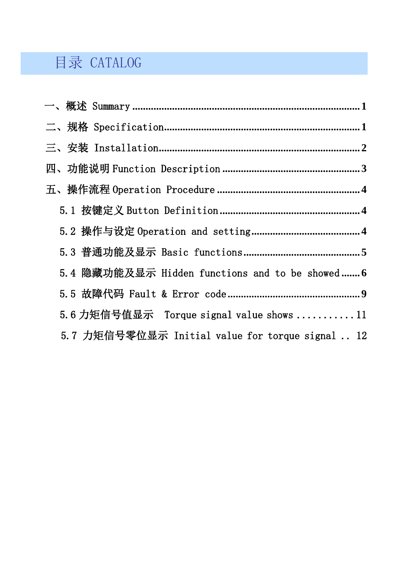# 目录 CATALOG

| 5.4 隐藏功能及显示 Hidden functions and to be showed 6  |
|--------------------------------------------------|
|                                                  |
| 5.6 力矩信号值显示 Torque signal value shows 11         |
| 5.7 力矩信号零位显示 Initial value for torque signal  12 |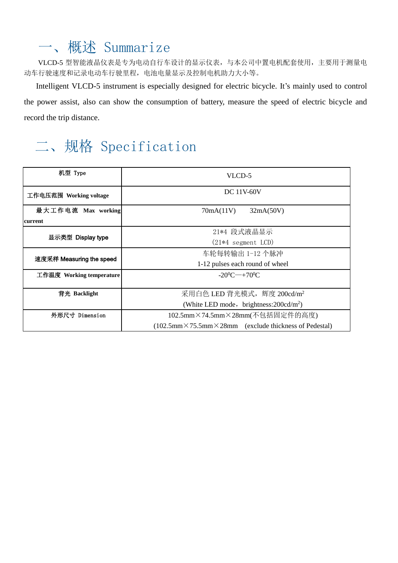# <span id="page-1-0"></span>一、概述 Summarize

VLCD-5 型智能液晶仪表是专为电动自行车设计的显示仪表,与本公司中置电机配套使用,主要用于测量电 动车行驶速度和记录电动车行驶里程,电池电量显示及控制电机助力大小等。

Intelligent VLCD-5 instrument is especially designed for electric bicycle. It's mainly used to control the power assist, also can show the consumption of battery, measure the speed of electric bicycle and record the trip distance.

# <span id="page-1-1"></span>二、规格 Specification

| 机型 Type                  | VLCD-5                                                                                        |  |
|--------------------------|-----------------------------------------------------------------------------------------------|--|
| 工作电压范围 Working voltage   | DC 11V-60V                                                                                    |  |
| 最大工作电流 Max working       | 70mA(11V)<br>32mA(50V)                                                                        |  |
| <b>current</b>           |                                                                                               |  |
| 显示类型 Display type        | 21*4 段式液晶显示                                                                                   |  |
|                          | $(21*4$ segment LCD)                                                                          |  |
|                          | 车轮每转输出 1-12 个脉冲                                                                               |  |
| 速度采样 Measuring the speed | 1-12 pulses each round of wheel                                                               |  |
| 工作温度 Working temperature | $-20^0C^{-}+70^0C$                                                                            |  |
| 背光 Backlight             | 采用白色 LED 背光模式, 辉度 200cd/m <sup>2</sup>                                                        |  |
|                          | (White LED mode, brightness: $200 \text{cd/m}^2$ )                                            |  |
| 外形尺寸 Dimension           | 102.5mm×74.5mm×28mm(不包括固定件的高度)                                                                |  |
|                          | $(102.5 \text{mm} \times 75.5 \text{mm} \times 28 \text{mm})$ (exclude thickness of Pedestal) |  |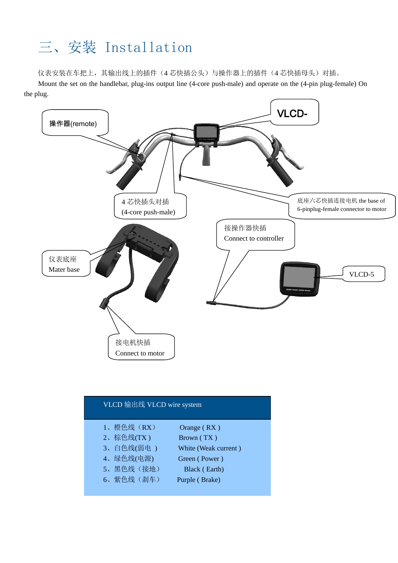# <span id="page-2-0"></span>三、安装 Installation

仪表安装在车把上,其输出线上的插件(4 芯快插公头)与操作器上的插件(4 芯快插母头)对插。

Mount the set on the handlebar, plug-ins output line (4-core push-male) and operate on the (4-pin plug-female) On the plug.



| VLCD 输出线 VLCD wire system |                      |
|---------------------------|----------------------|
| 1、橙色线 (RX)                | Orange $(RX)$        |
| 2、棕色线(TX)                 | Brown (TX)           |
| 3、白色线(弱电)                 | White (Weak current) |
| 4、绿色线(电源)                 | Green (Power)        |
| 5、黑色线(接地)                 | Black (Earth)        |
| 6、紫色线(刹车)                 | Purple (Brake)       |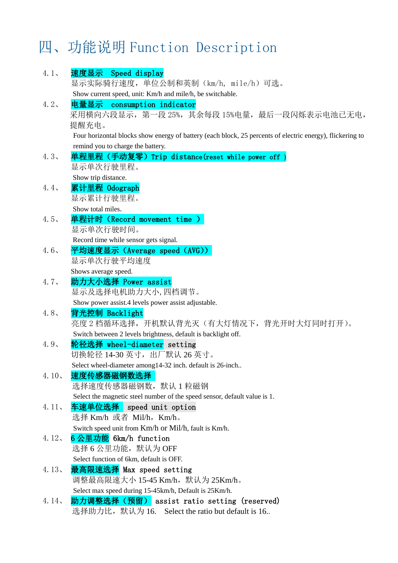# <span id="page-3-0"></span>四、功能说明 Function Description

| $4.1$ ,  | 速度显示 Speed display                                                                                        |
|----------|-----------------------------------------------------------------------------------------------------------|
|          | 显示实际骑行速度, 单位公制和英制(km/h, mile/h)可选。                                                                        |
|          | Show current speed, unit: Km/h and mile/h, be switchable.                                                 |
| 4.2.     | consumption indicator<br>电量显示                                                                             |
|          | 采用横向六段显示, 第一段 25%, 其余每段 15%电量, 最后一段闪烁表示电池已无电,                                                             |
|          | 提醒充电。                                                                                                     |
|          | Four horizontal blocks show energy of battery (each block, 25 percents of electric energy), flickering to |
| 4.3.     | remind you to charge the battery.                                                                         |
|          | 单程里程(手动复零)Trip distance(reset while power off )<br>显示单次行驶里程。                                              |
|          | Show trip distance.                                                                                       |
| 4.4.     | 累计里程 Odograph                                                                                             |
|          | 显示累计行驶里程。                                                                                                 |
|          | Show total miles.                                                                                         |
| 4.5.     | 单程计时 (Record movement time )                                                                              |
|          | 显示单次行驶时间。                                                                                                 |
|          | Record time while sensor gets signal.                                                                     |
| 4.6      | 平均速度显示 (Average speed (AVG))                                                                              |
|          | 显示单次行驶平均速度                                                                                                |
|          | Shows average speed.                                                                                      |
| 4.7.     | 助力大小选择 Power assist                                                                                       |
|          | 显示及选择电机助力大小,四档调节。                                                                                         |
|          | Show power assist.4 levels power assist adjustable.                                                       |
| 4.8      | 背光控制 Backlight                                                                                            |
|          | 亮度 2 档循环选择,开机默认背光灭(有大灯情况下,背光开时大灯同时打开)。                                                                    |
|          | Switch between 2 levels brightness, default is backlight off.                                             |
| 4.9.     | 轮径选择 wheel-diameter setting                                                                               |
|          | 切换轮径 14-30 英寸,出厂默认 26 英寸。                                                                                 |
|          | Select wheel-diameter among 14-32 inch. default is 26-inch                                                |
| 4.10.    | 速度传感器磁钢数选择                                                                                                |
|          | 选择速度传感器磁钢数,默认 1 粒磁钢                                                                                       |
|          | Select the magnetic steel number of the speed sensor, default value is 1.                                 |
| $4.11$ , | 车速单位选择 speed unit option                                                                                  |
|          | 选择 Km/h 或者 Mil/h, Km/h。                                                                                   |
| 4.12.    | Switch speed unit from Km/h or Mil/h, fault is Km/h.<br>6 公里功能 6km/h function                             |
|          | 选择 6 公里功能, 默认为 OFF                                                                                        |
|          | Select function of 6km, default is OFF.                                                                   |
| $4.13$ , | 最高限速选择 Max speed setting                                                                                  |
|          | 调整最高限速大小 15-45 Km/h,默认为 25Km/h。                                                                           |
|          | Select max speed during 15-45km/h, Default is 25Km/h.                                                     |
| 4.14.    | 助力调整选择(预留) assist ratio setting (reserved)                                                                |
|          | 选择助力比, 默认为 16. Select the ratio but default is 16                                                         |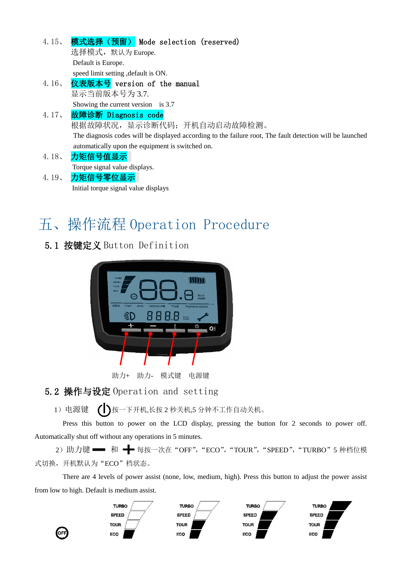| 4.15.    | 模式选择 (预留) Mode selection (reserved)                                                                       |
|----------|-----------------------------------------------------------------------------------------------------------|
|          | 选择模式, 默认为 Europe.                                                                                         |
|          | Default is Europe.                                                                                        |
|          | speed limit setting , default is ON.                                                                      |
| 4.16     | 仪表版本号 version of the manual                                                                               |
|          | 显示当前版本号为 3.7.                                                                                             |
|          | Showing the current version is $3.7$                                                                      |
|          | 4.17、 故障诊断 Diagnosis code                                                                                 |
|          | 根据故障状况, 显示诊断代码; 开机自动启动故障检测。                                                                               |
|          | The diagnosis codes will be displayed according to the failure root, The fault detection will be launched |
|          | automatically upon the equipment is switched on.                                                          |
| $4.18$ , | 力矩信号值显示                                                                                                   |
|          | Torque signal value displays.                                                                             |

4.19、 力矩信号零位显示 Initial torque signal value displays

# <span id="page-4-0"></span>五、操作流程 Operation Procedure

<span id="page-4-1"></span>5.1 按键定义 Button Definition



助力+ 助力- 模式键 电源键

<span id="page-4-2"></span>5.2 操作与设定 Operation and setting

1) 电源键 ()接一下开机,长按 2 秒关机,5 分钟不工作自动关机。

Press this button to power on the LCD display, pressing the button for 2 seconds to power off. Automatically shut off without any operations in 5 minutes.

2) 助力键 ■ 和 → 每按一次在 "OFF", "ECO", "TOUR", "SPEED", "TURBO" 5 种档位模 式切换,开机默认为"ECO"档状态。

There are 4 levels of power assist (none, low, medium, high). Press this button to adjust the power assist from low to high. Default is medium assist.

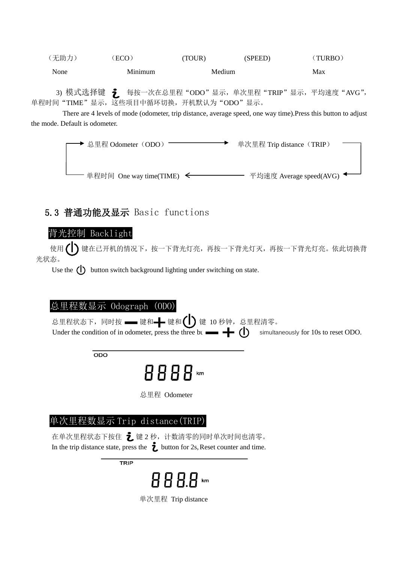$(\overline{\text{FL}}\text{th})$  (ECO) (TOUR) (SPEED) (TURBO) None Minimum Medium Max

3) 模式选择键 之 每按一次在总里程"ODO"显示,单次里程"TRIP"显示,平均速度"AVG", 单程时间"TIME"显示,这些项目中循环切换,开机默认为"ODO"显示。

 There are 4 levels of mode (odometer, trip distance, average speed, one way time).Press this button to adjust the mode. Default is odometer.

> ◆ 总里程 Odometer(ODO) ——————→ 单次里程 Trip distance(TRIP) - 单程时间 One way time(TIME) <  $\leftarrow$  平均速度 Average speed(AVG) ◆

### <span id="page-5-0"></span>5.3 普通功能及显示 Basic functions

### 背光控制 Backlight

使用( ) 键在已开机的情况下, 按一下背光灯亮, 再按一下背光灯灭, 再按一下背光灯亮。依此切换背 光状态。

Use the  $\binom{n}{k}$  button switch background lighting under switching on state.

#### 总里程数显示 Odograph (ODO)

总里程状态下,同时按 ━━ 键和━━ 键和( ┃ ) 键 10 秒钟,总里程清零。 Under the condition of in odometer, press the three bu $\blacksquare$   $\blacksquare$   $\blacksquare$  simultaneously for 10s to reset ODO.

 $ODO$ 

8888…

总里程 Odometer

## 单次里程数显示 Trip distance(TRIP)

在单次里程状态下按住 之 键 2 秒, 计数清零的同时单次时间也清零。 In the trip distance state, press the  $\dot{\mathbf{\ell}}$  button for 2s, Reset counter and time.

**TRIP** 



单次里程 Trip distance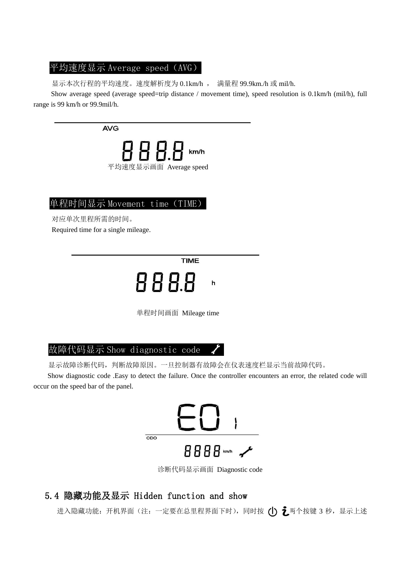#### 平均速度显示 Average speed (AVG)

显示本次行程的平均速度。速度解析度为 0.1km/h , 满量程 99.9km./h 或 mil/h.

Show average speed (average speed=trip distance / movement time), speed resolution is 0.1km/h (mil/h), full range is 99 km/h or 99.9mil/h.

**AVG** 



### 单程时间显示 Movement time (TIME)

对应单次里程所需的时间。 Required time for a single mileage.

**TIME** 

888 h

单程时间画面 Mileage time

### 故障代码显示 Show diagnostic code

显示故障诊断代码,判断故障原因。一旦控制器有故障会在仪表速度栏显示当前故障代码。

Show diagnostic code .Easy to detect the failure. Once the controller encounters an error, the related code will occur on the speed bar of the panel.



诊断代码显示画面 Diagnostic code

## <span id="page-6-0"></span>5.4 隐藏功能及显示 Hidden function and show

进入隐藏功能: 开机界面(注:一定要在总里程界面下时),同时按 ( ) 之两个按键 3 秒, 显示上述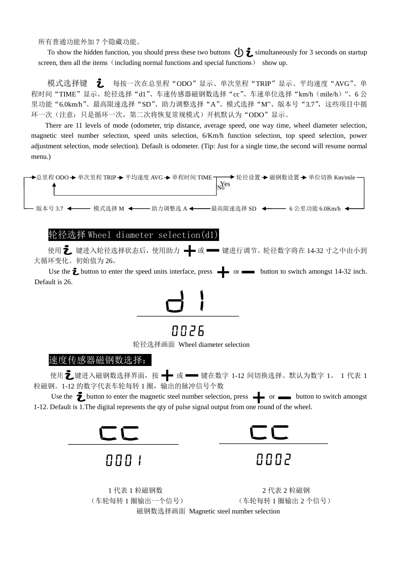所有普通功能外加 7 个隐藏功能。

To show the hidden function, you should press these two buttons  $\bigoplus$  imultaneously for 3 seconds on startup screen, then all the items (including normal functions and special functions) show up.

模式选择键 *L* 每按一次在总里程"ODO"显示、单次里程"TRIP"显示、平均速度"AVG"、单 程时间"TIME"显示、轮径选择"d1"、车速传感器磁钢数选择"cc"、车速单位选择"km/h (mile/h)"、6 公 里功能"6.0km/h"、最高限速选择"SD"、助力调整选择"A"、模式选择"M"、版本号"3.7",这些项目中循 环一次(注意:只是循环一次,第二次将恢复常规模式)开机默认为"ODO"显示。

There are 11 levels of mode (odometer, trip distance, average speed, one way time, wheel diameter selection, magnetic steel number selection, speed units selection, 6/Km/h function selection, top speed selection, power adjustment selection, [mode](app:ds:mode) [selection\)](app:ds:selection). Default is odometer. (Tip: Just for a single time, the second will resume normal menu.)



### 轮径选择 Wheel diameter selection(d1)

使用 之 键进入轮径选择状态后, 使用助力 –– 或 –– 键进行调节。轮径数字将在 14-32 寸之中由小到 大循环变化。初始值为 26。

Use the  $\bar{z}$  button to enter the speed units interface, press  $\frac{1}{z}$  or  $\frac{1}{z}$  button to switch amongst 14-32 inch. Default is 26.



# 8 S N N

轮径选择画面 Wheel diameter selection

#### 速度传感器磁钢数选择:

 使用 键进入磁钢数选择界面,按 或 键在数字 1-12 间切换选择。默认为数字 1。 1 代表 1 粒磁钢。1-12 的数字代表车轮每转 1 圈,输出的脉冲信号个数

Use the  $\sum$  button to enter the magnetic steel number selection, press  $\rightarrow$  or  $\rightarrow$  button to switch amongst 1-12. Default is 1.The digital represents the qty of pulse signal output from one round of the wheel.







1 代表 1 粒磁钢数 2 1 2 代表 2 粒磁钢 (车轮每转 1 圈输出一个信号) (车轮每转 1 圈输出 2 个信号) 磁钢数选择画面 Magnetic steel number selection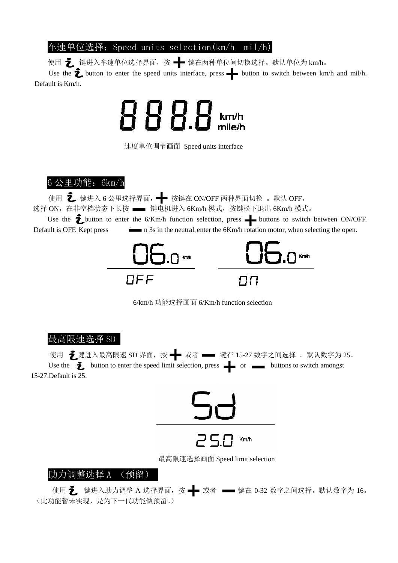#### 车速单位选择:Speed units selection(km/h mil/h)

使用 之 键进入车速单位选择界面, 按 – 错在两种单位间切换选择。默认单位为 km/h。

Use the  $\ddot{\bullet}$  button to enter the speed units interface, press  $\bullet$  button to switch between km/h and mil/h. Default is Km/h.



速度单位调节画面 Speed units interface

 $6$  公里功能: 6km/h

使用 之 键进入 6 公里选择界面, ← 按键在 ON/OFF 两种界面切换 。 默认 OFF。

选择 ON, 在非空档状态下长按 ■■ 键电机进入 6Km/h 模式, 按键松下退出 6Km/h 模式。

Use the  $\sum$  button to enter the 6/Km/h function selection, press  $\longrightarrow$  buttons to switch between ON/OFF. Default is OFF. Kept press **button 3s** in the neutral, enter the 6Km/h rotation motor, when selecting the open.



6/km/h 功能选择画面 6/Km/h function selection

#### 最高限速选择 SD

使用 之 建进入最高限速 SD 界面, 按 ━━ 或者 ━━ 键在 15-27 数字之间选择 。默认数字为 25。 Use the  $\overline{\mathbf{z}}$  button to enter the speed limit selection, press  $\overline{\mathbf{z}}$  or  $\overline{\mathbf{z}}$  buttons to switch amongst 15-27.Default is 25.



最高限速选择画面 Speed limit selection

#### 助力调整选择 A (预留)

使用 乙 键进入助力调整 A 选择界面,按 ━━ 或者 ━━ 键在 0-32 数字之间选择。默认数字为 16。 (此功能暂未实现,是为下一代功能做预留。)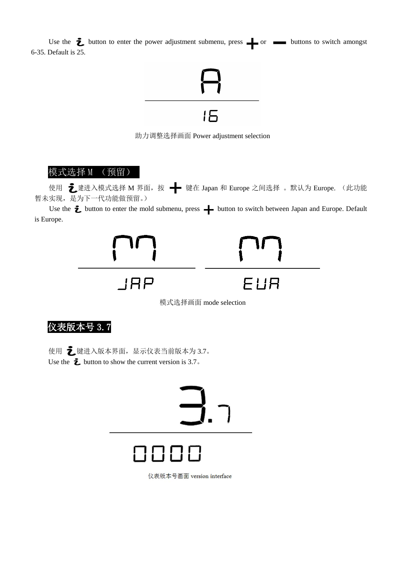Use the  $\ddot{\mathbf{\Sigma}}$  button to enter the power adjustment submenu, press  $\bullet$  or  $\bullet$  buttons to switch amongst 6-35. Default is 25.



助力调整选择画面 Power adjustment selection

#### 模式选择 M (预留)

使用 之 建进入模式选择 M 界面, 按 - 雷键在 Japan 和 Europe 之间选择 。默认为 Europe. (此功能 暂未实现,是为下一代功能做预留。)

Use the  $\bar{z}$  button to enter the mold submenu, press  $+$  button to switch between Japan and Europe. Default is Europe.



<span id="page-9-0"></span>仪表版本号 3.7

使用 之键进入版本界面,显示仪表当前版本为 3.7。 Use the  $\ddot{\mathbf{\Sigma}}$  button to show the current version is 3.7.



仪表版本号画面 version interface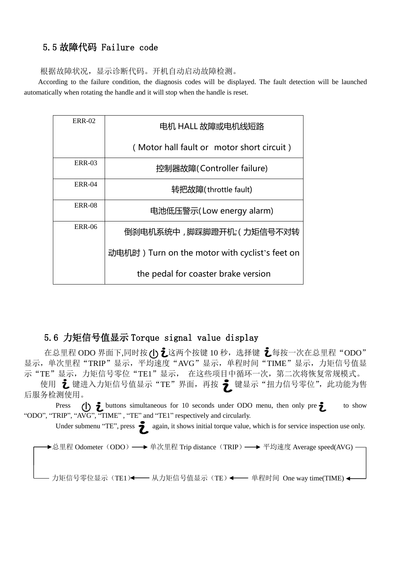### 5.5 故障代码 Failure code

根据故障状况,显示诊断代码。开机自动启动故障检测。

According to the failure condition, the diagnosis codes will be displayed. The fault detection will be launched automatically when rotating the handle and it will stop when the handle is reset.

| <b>ERR-02</b> | 电机 HALL 故障或电机线短路                               |
|---------------|------------------------------------------------|
|               | (Motor hall fault or motor short circuit)      |
| <b>ERR-03</b> | 控制器故障(Controller failure)                      |
| <b>ERR-04</b> | 转把故障(throttle fault)                           |
| <b>ERR-08</b> | 电池低压警示(Low energy alarm)                       |
| <b>ERR-06</b> | 倒刹电机系统中 ,脚踩脚蹬开机;( 力矩信号不对转                      |
|               | 动电机时) Turn on the motor with cyclist's feet on |
|               | the pedal for coaster brake version            |

## 5.6 力矩信号值显示 Torque signal value display

在总里程 ODO 界面下,同时按(I) し这两个按键 10 秒, 选择键 し每按一次在总里程"ODO" 显示,单次里程"TRIP"显示,平均速度"AVG"显示,单程时间"TIME"显示,力矩信号值显 示"TE"显示,力矩信号零位"TE1"显示, 在这些项目中循环一次,第二次将恢复常规模式。

使用 え 键进入力矩信号值显示"TE"界面,再按 ♬ 键显示"扭力信号零位",此功能为售 后服务检测使用。

Press ()  $\hat{i}$  buttons simultaneous for 10 seconds under ODO menu, then only pre $\hat{i}$  to show "ODO", "TRIP", "AVG", "TIME" , "TE" and "TE1" respectively and circularly.

Under submenu "TE", press  $\sum$  again, it shows initial torque value, which is for service inspection use only.

→总里程 Odometer (ODO) →→ 单次里程 Trip distance (TRIP) →→ 平均速度 Average speed(AVG) -

- 力矩信号零位显示 (TE1)←—— 从力矩信号值显示 (TE) ←—— 单程时间 One way time(TIME) ←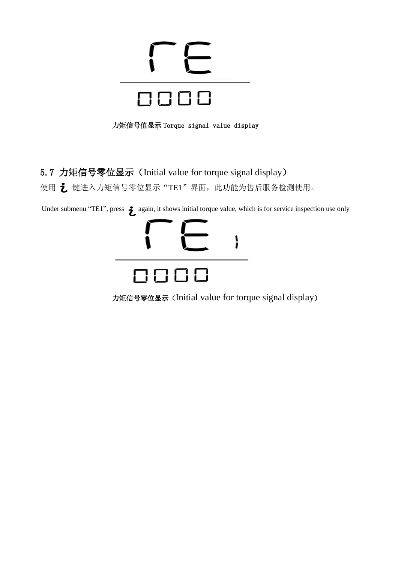

力矩信号值显示 Torque signal value display

## 5.7 力矩信号零位显示(Initial value for torque signal display)

使用 • 键进入力矩信号零位显示"TE1"界面, 此功能为售后服务检测使用。

Under submenu "TE1", press  $\sum$  again, it shows initial torque value, which is for service inspection use only



力矩信号零位显示(Initial value for torque signal display)